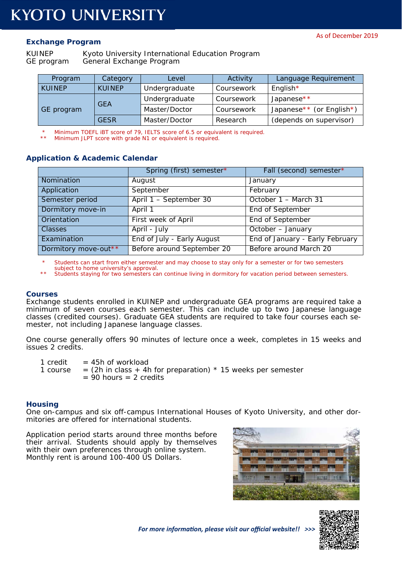## **Exchange Program**

KUINEP Kyoto University International Education Program GE program General Exchange Program

| Program       | Category      | Level         | Activity   | Language Requirement     |
|---------------|---------------|---------------|------------|--------------------------|
| <b>KUINEP</b> | <b>KUINEP</b> | Undergraduate | Coursework | English $*$              |
| GE program    | <b>GEA</b>    | Undergraduate | Coursework | Japanese**               |
|               |               | Master/Doctor | Coursework | Japanese** (or English*) |
|               | <b>GFSR</b>   | Master/Doctor | Research   | (depends on supervisor)  |

\* Minimum TOEFL iBT score of 79, IELTS score of 6.5 or equivalent is required.

Minimum JLPT score with grade N1 or equivalent is required.

## **Application & Academic Calendar**

|                      | Spring (first) semester*   | Fall (second) semester*         |
|----------------------|----------------------------|---------------------------------|
| Nomination           | August                     | January                         |
| Application          | September                  | February                        |
| Semester period      | April 1 - September 30     | October 1 - March 31            |
| Dormitory move-in    | April 1                    | End of September                |
| Orientation          | First week of April        | End of September                |
| <b>Classes</b>       | April - July               | October - January               |
| Examination          | End of July - Early August | End of January - Early February |
| Dormitory move-out** | Before around September 20 | Before around March 20          |

Students can start from either semester and may choose to stay only for a semester or for two semesters subject to home university's approval.

Students staying for two semesters can continue living in dormitory for vacation period between semesters.

#### **Courses**

Exchange students enrolled in KUINEP and undergraduate GEA programs are required take a minimum of seven courses each semester. This can include up to two Japanese language classes (credited courses). Graduate GEA students are required to take four courses each semester, not including Japanese language classes.

One course generally offers 90 minutes of lecture once a week, completes in 15 weeks and issues 2 credits.

1 credit  $= 45h$  of workload

1 course  $=$  (2h in class + 4h for preparation)  $*$  15 weeks per semester  $= 90$  hours  $= 2$  credits

### **Housing**

One on-campus and six off-campus International Houses of Kyoto University, and other dormitories are offered for international students.

Application period starts around three months before their arrival. Students should apply by themselves with their own preferences through online system. Monthly rent is around 100-400 US Dollars.





*For more informaƟon, please visit our official website!! >>>*